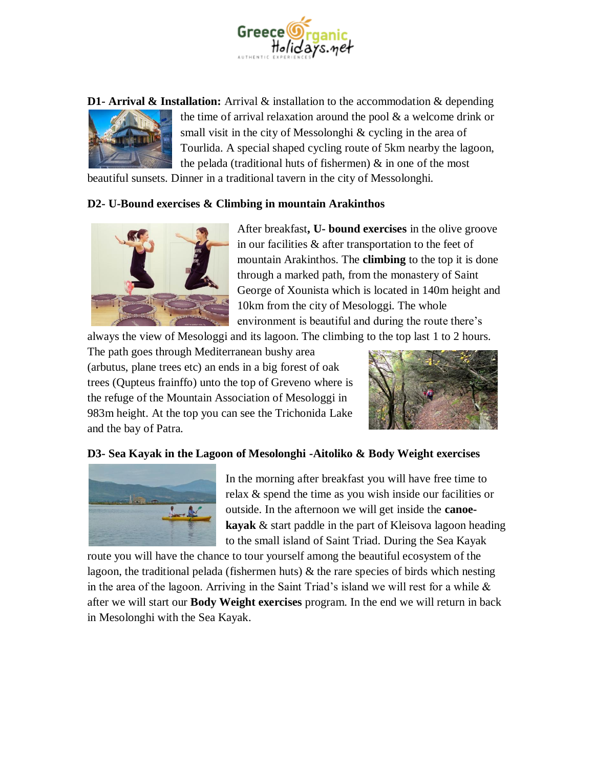

**D1- Arrival & Installation:** Arrival & installation to the accommodation & depending



the time of arrival relaxation around the pool & a welcome drink or small visit in the city of Messolonghi & cycling in the area of Tourlida. A special shaped cycling route of 5km nearby the lagoon, the pelada (traditional huts of fishermen) & in one of the most

beautiful sunsets. Dinner in a traditional tavern in the city of Messolonghi.

## **D2- U-Bound exercises & Climbing in mountain Arakinthos**



After breakfast**, U- bound exercises** in the olive groove in our facilities & after transportation to the feet of mountain Arakinthos. The **climbing** to the top it is done through a marked path, from the monastery of Saint George of Xounista which is located in 140m height and 10km from the city of Mesologgi. The whole environment is beautiful and during the route there's

always the view of Mesologgi and its lagoon. The climbing to the top last 1 to 2 hours.

The path goes through Mediterranean bushy area (arbutus, plane trees etc) an ends in a big forest of oak trees (Qupteus frainffo) unto the top of Greveno where is the refuge of the Mountain Association of Mesologgi in 983m height. At the top you can see the Trichonida Lake and the bay of Patra.



# **D3- Sea Kayak in the Lagoon of Mesolonghi -Aitoliko & Body Weight exercises**



In the morning after breakfast you will have free time to relax & spend the time as you wish inside our facilities or outside. In the afternoon we will get inside the **canoekayak** & start paddle in the part of Kleisova lagoon heading to the small island of Saint Triad. During the Sea Kayak

route you will have the chance to tour yourself among the beautiful ecosystem of the lagoon, the traditional pelada (fishermen huts) & the rare species of birds which nesting in the area of the lagoon. Arriving in the Saint Triad's island we will rest for a while  $\&$ after we will start our **Body Weight exercises** program. In the end we will return in back in Mesolonghi with the Sea Kayak.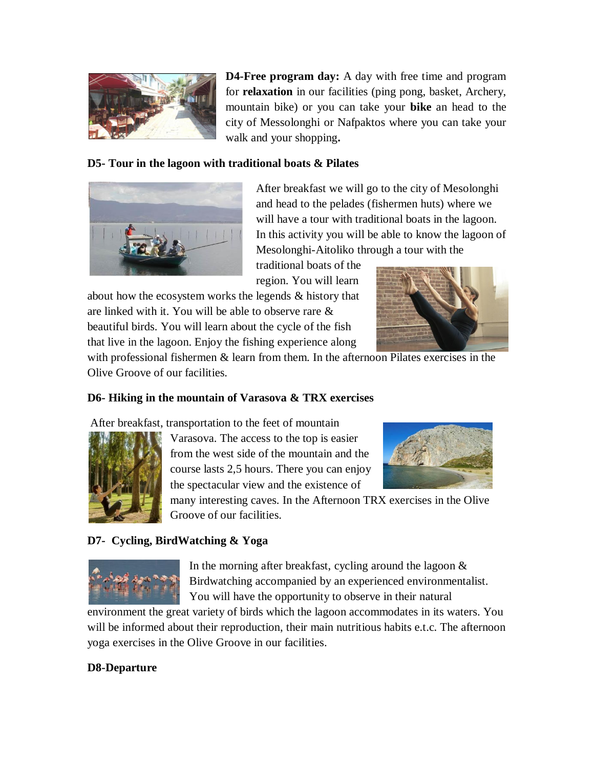

**D4-Free program day:** A day with free time and program for **relaxation** in our facilities (ping pong, basket, Archery, mountain bike) or you can take your **bike** an head to the city of Messolonghi or Nafpaktos where you can take your walk and your shopping**.**

## **D5- Tour in the lagoon with traditional boats & Pilates**



After breakfast we will go to the city of Mesolonghi and head to the pelades (fishermen huts) where we will have a tour with traditional boats in the lagoon. In this activity you will be able to know the lagoon of Mesolonghi-Aitoliko through a tour with the

traditional boats of the region. You will learn

about how the ecosystem works the legends & history that are linked with it. You will be able to observe rare & beautiful birds. You will learn about the cycle of the fish that live in the lagoon. Enjoy the fishing experience along



with professional fishermen & learn from them. In the afternoon Pilates exercises in the Olive Groove of our facilities.

# **D6- Hiking in the mountain of Varasova & TRX exercises**

After breakfast, transportation to the feet of mountain



Varasova. The access to the top is easier from the west side of the mountain and the course lasts 2,5 hours. There you can enjoy the spectacular view and the existence of



many interesting caves. In the Afternoon TRX exercises in the Olive Groove of our facilities.

# **D7- Cycling, BirdWatching & Yoga**



In the morning after breakfast, cycling around the lagoon  $\&$ Birdwatching accompanied by an experienced environmentalist. You will have the opportunity to observe in their natural

environment the great variety of birds which the lagoon accommodates in its waters. You will be informed about their reproduction, their main nutritious habits e.t.c. The afternoon yoga exercises in the Olive Groove in our facilities.

# **D8-Departure**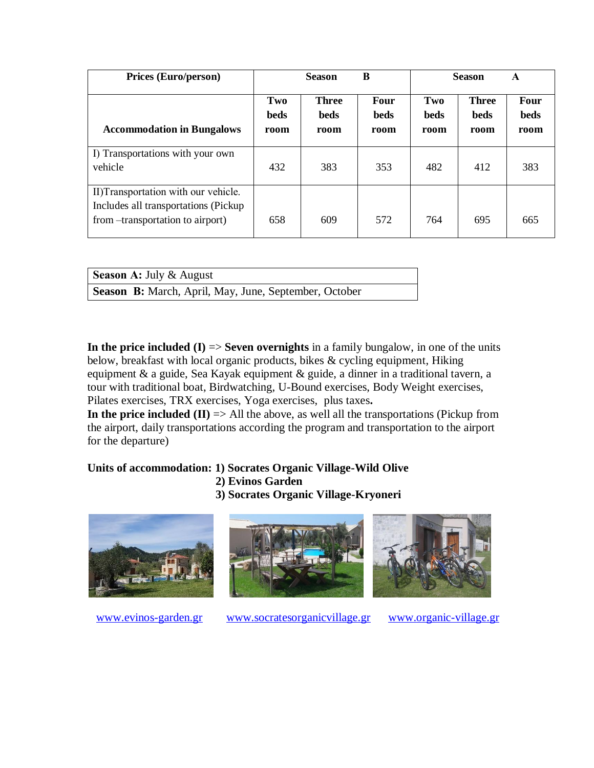| <b>Prices (Euro/person)</b>                                                                                      | B<br><b>Season</b>         |                                     | <b>Season</b>                      |                            | A                                   |                                    |
|------------------------------------------------------------------------------------------------------------------|----------------------------|-------------------------------------|------------------------------------|----------------------------|-------------------------------------|------------------------------------|
| <b>Accommodation in Bungalows</b>                                                                                | Two<br><b>beds</b><br>room | <b>Three</b><br><b>beds</b><br>room | <b>Four</b><br><b>beds</b><br>room | Two<br><b>beds</b><br>room | <b>Three</b><br><b>beds</b><br>room | <b>Four</b><br><b>beds</b><br>room |
| I) Transportations with your own<br>vehicle                                                                      | 432                        | 383                                 | 353                                | 482                        | 412                                 | 383                                |
| II)Transportation with our vehicle.<br>Includes all transportations (Pickup<br>from --transportation to airport) | 658                        | 609                                 | 572                                | 764                        | 695                                 | 665                                |

| <b>Season A: July &amp; August</b>                           |  |
|--------------------------------------------------------------|--|
| <b>Season B:</b> March, April, May, June, September, October |  |

**In the price included (I) => Seven overnights** in a family bungalow, in one of the units below, breakfast with local organic products, bikes & cycling equipment, Hiking equipment & a guide, Sea Kayak equipment & guide, a dinner in a traditional tavern, a tour with traditional boat, Birdwatching, U-Bound exercises, Body Weight exercises, Pilates exercises, TRX exercises, Yoga exercises, plus taxes**.** 

**In the price included (II)** => All the above, as well all the transportations (Pickup from the airport, daily transportations according the program and transportation to the airport for the departure)

# **Units of accommodation: 1) Socrates Organic Village-Wild Olive**

- **2) Evinos Garden**
- **3) Socrates Organic Village-Kryoneri**